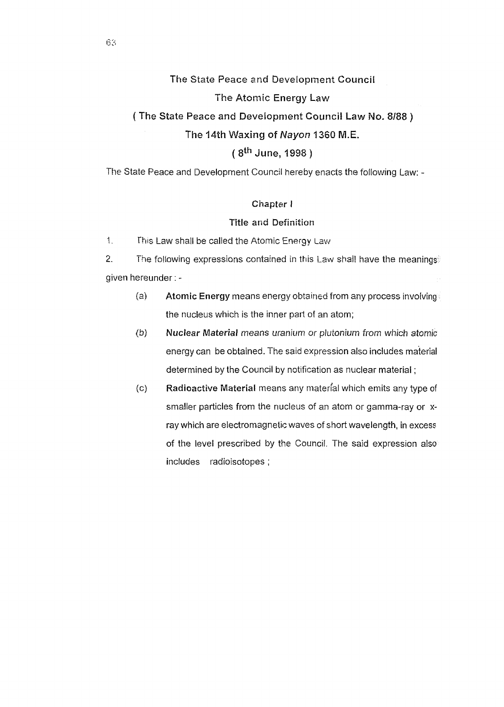# **The** State **Peace** and Development **Council**

### The **Atomic Energy Law**

# ( **The State Peace and Development Council Law No. 8/88** )

# **The 14th Waxing of Nayon 1360 M.E.**

# ( **sth June, 1998)**

The State Peace and Development Council hereby enacts the following Law: -

### **Chapter** I

### **Title and Definition**

1. fhis Law shall be called the Atomic Energy Law

2. The following expressions contained in this Law shall have the meanings given hereunder: -

- (a) **Atomic Energy** means energy obtained from any process involving• the nucleus which is the inner part of an atom;
- (b) **Nuclear Material** means uranium or plutonium from which atomic energy can be obtained. The said expression also includes material determined by the Council by notification as nuclear material ;
- (c} **Radioactive Material** means any materfal which emits any type of smaller particles from the nucleus of an atom or gamma-ray or xray which are electromagnetic waves of short wavelength, in excess of the level prescribed by the Council. The said expression also includes radioisotopes ;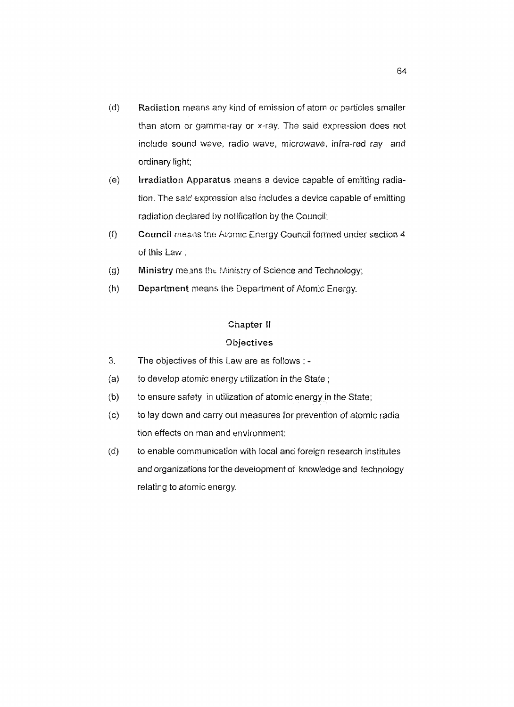- (d) **Radiation** means any kind of emission of atom or particles smaller than atom or gamma-ray or x-ray. The said expression does not include sound wave, radio wave, microwave, infra-red ray and ordinary light;
- (e) **Irradiation Apparatus** means a device capable of emitting radiation. The said expression also includes a device capable of emitting radiation declared by notification by the Council;
- (f) Council means the Atomic Energy Council formed under section 4 of this Law;
- (g) **Ministry** means the Ministry of Science and Technology;
- (h) **Department** means the Department of Atomic Energy.

### **Chapter** II

### **Objectives**

- 3. The objectives of this Law are as follows: -
- (a) to develop atomic energy utilization in the State;
- (b) to ensure safety in utilization of atomic energy in the State;
- (c) to lay down and carry out measures for prevention of atomic radia tion effects on man and environment:
- (d) to enable communication with local and foreign research institutes and organizations for the development of knowledge and technology relating to atomic energy.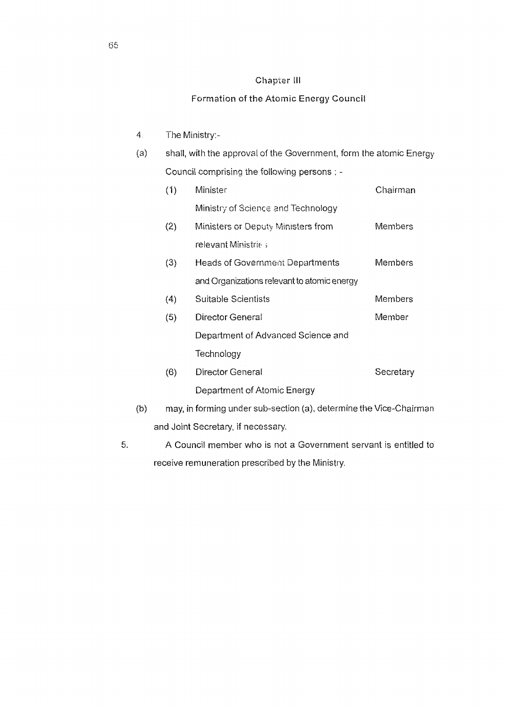# Chapter lll

# Formation of the Atomic Energy Council

| 4.                                 |     | The Ministry:-                                                     |           |  |
|------------------------------------|-----|--------------------------------------------------------------------|-----------|--|
| (a)                                |     | shall, with the approval of the Government, form the atomic Energy |           |  |
|                                    |     | Council comprising the following persons : -                       |           |  |
|                                    | (1) | Minister                                                           | Chairman  |  |
|                                    |     | Ministry of Science and Technology                                 |           |  |
|                                    | (2) | Ministers or Deputy Ministers from                                 | Members   |  |
|                                    |     | relevant Ministrie;                                                |           |  |
|                                    | (3) | Heads of Government Departments                                    | Members   |  |
|                                    |     | and Organizations relevant to atomic energy                        |           |  |
|                                    | (4) | Suitable Scientists                                                | Members   |  |
|                                    | (5) | Director General                                                   | Member    |  |
|                                    |     | Department of Advanced Science and                                 |           |  |
|                                    |     | Technology                                                         |           |  |
|                                    | (6) | Director General                                                   | Secretary |  |
|                                    |     | Department of Atomic Energy                                        |           |  |
| (b)                                |     | may, in forming under sub-section (a), determine the Vice-Chairman |           |  |
| and Joint Secretary, if necessary. |     |                                                                    |           |  |

5. A Council member who is not a Government servant is entitled to receive remuneration prescribed by the Ministry.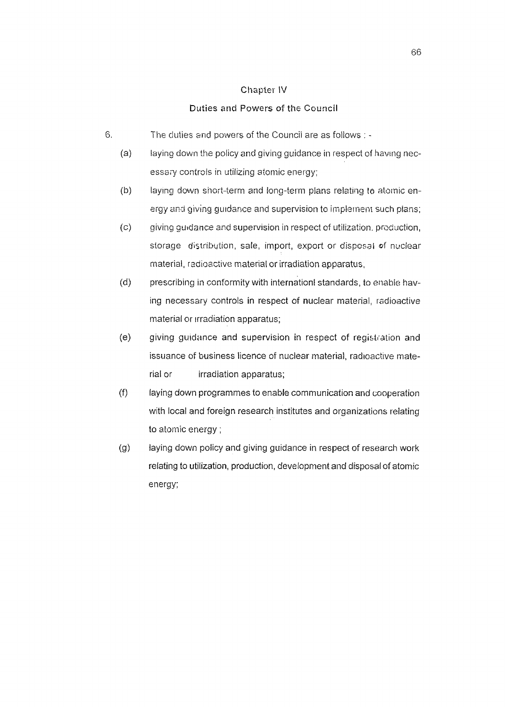### Chapter IV

### Duties and Powers of the Council

- 6. The duties and powers of the Council are as follows : -
	- (a) laying down the policy and giving guidance in respect of having necessary controls in utilizing atomic energy;
	- (b) laying down short-term and long-term plans relating to atomic energy and giving guidance and supervision to implement such plans;
	- (c) giving guidance and supervision in respect of utilization. production, storage distribution, sale, import, export or disposal of nuclear material, radioactive material or irradiation apparatus,
	- (d) prescribing in conformity with internationl standards, to enable having necessary controls in respect of nuclear material, radioactive material or irradiation apparatus;
	- (e) giving guidance and supervision in respect of registration and issuance of business licence of nuclear material, radioactive material or irradiation apparatus;
	- (f) laying down programmes to enable communication and cooperation with local and foreign research institutes and organizations relating to atomic energy;
	- (g) laying down policy and giving guidance in respect of research work relating to utilization, production, development and disposal of atomic energy;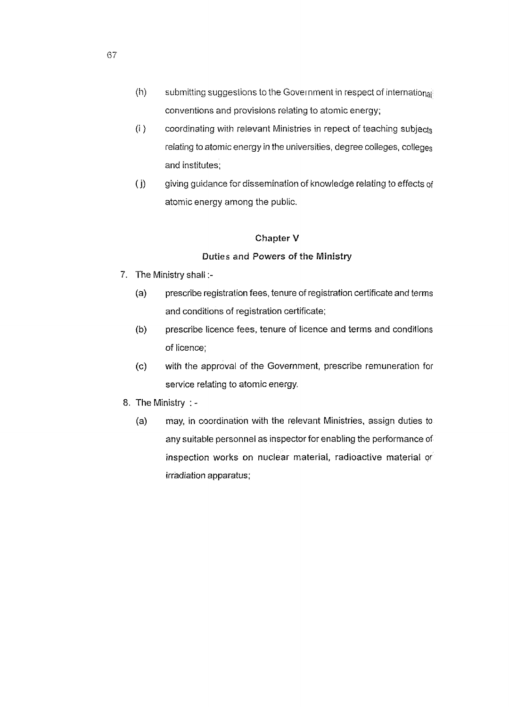- $(h)$  submitting suggestions to the Government in respect of international conventions and provisions relating to atomic energy;
- (i ) coordinating with relevant Ministries in repect of teaching subjects relating to atomic energy in the universities, degree colleges, colleges and institutes;
- (i) giving guidance for dissemination of knowledge relating to effects of atomic energy among the public.

# **Chapter V**

# Duties and Powers of the Ministry

- 7. The Ministry shall:-
	- (a) prescribe registration fees, tenure of registration certificate and terms and conditions of registration certificate;
	- (b) prescribe licence fees, tenure of licence and terms and conditions of licence;
	- (c) with the approval of the Government, prescribe remuneration for service relating to atomic energy.
- 8. The Ministry :
	- (a) may, in coordination with the relevant Ministries, assign duties to any suitable personnel as inspector for enabling the performance of inspection works on nuclear material, radioactive material or irradiation apparatus;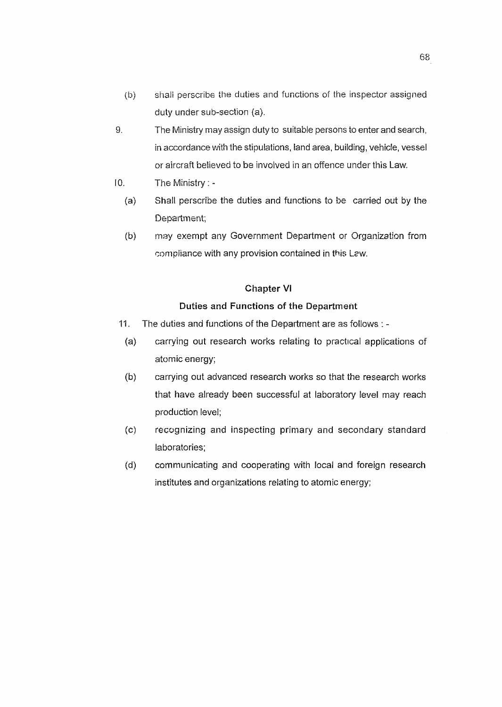- (b) shall perscribe the duties and functions of the inspector assigned duty under sub-section (a).
- 9. The Ministry may assign duty to suitable persons to enter and search, in accordance with the stipulations, land area, building, vehicle, vessel or aircraft believed to be involved in an offence under this Law.
- IO. The Ministry : -
	- (a) Shall perscribe the duties and functions to be carried out by the Department;
	- (b) may exempt any Government Department or Organization from compliance with any provision contained in this Law.

## **Chapter VI**

# **Duties and Functions of the Department**

- 11. The duties and functions of the Department are as follows : -
- (a) carrying out research works relating to practical applications of atomic energy;
- (b) carrying out advanced research works so that the research works that have already been successful at laboratory level may reach production level;
- (c) recognizing and inspecting primary and secondary standard laboratories;
- (d) communicating and cooperating with local and foreign research institutes and organizations relating to atomic energy;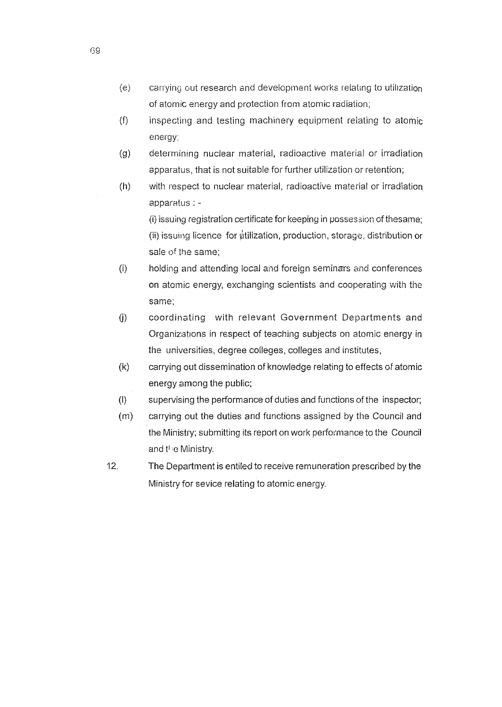- $\langle e \rangle$  carrying out research and development works relating to utilization of atomic energy and protection from atomic radiation;
- $(f)$  inspecting and testing machinery equipment relating to atomic energy;
- (g) determining nuclear material, radioactive material or irradiation apparatus, that is not suitable for further utilization or retention;
- $(h)$  with respect to nuclear material, radioactive material or irradiation apparatus : -

(i) issuing registration certificate for keeping in µosses3ion of thesame; (ii) issuing licence for diffization, production, storage, distribution or sale of the same;

- $(i)$  holding and attending local and foreign seminars and conferences on atomic energy, exchanging scientists and cooperating with the same;
- (i) coordinating with relevant Government Departments and Organizations in respect of teaching subjects on atomic energy in the universities, degree colleges, colleges and institutes,
- (k) carrying out dissemination of knowledge relating to effects of atomic energy among the public;
- (l) supervising the performance of duties and functions of the inspector;
- (m) carrying out the duties and functions asslgned by the Council and the Ministry; submitting its report on work performance to the Council and the Ministry.
- 12. The Department is entiled to receive remuneration prescribed by the Ministry for sevice relating to atomic energy.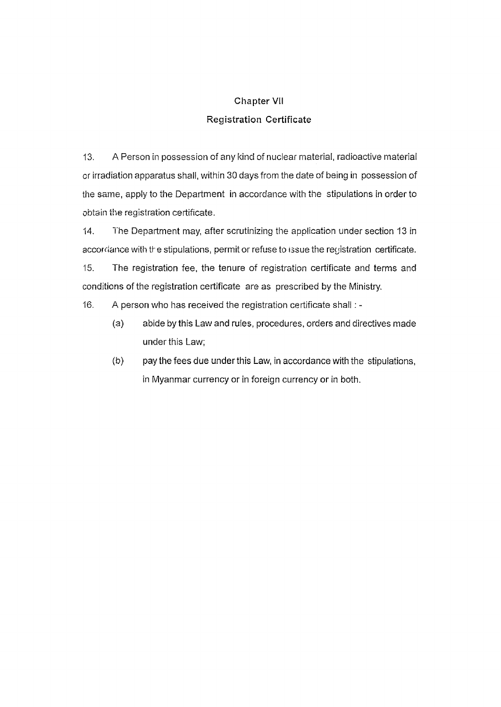# **Chapter VII**  Registration Certificate

13. A Person in possession of any kind of nuclear material, radioactive material er irradiation apparatus shall, within 30 days from the date of being in possession of the same, apply to the Department in accordance with the stipulations in order to obtain the registration certificate.

14. The Department may, after scrutinizing the application under section 13 in accordance with the stipulations, permit or refuse to issue the registration certificate.

15. The registration fee, the tenure of registration certificate and terms and conditions of the registration certificate are as prescribed by the Ministry.

16. A person who has received the registration certificate shall : -

- (a) abide by this Law and rules, procedures, orders and directives made under this Law;
- (b) pay the fees due under this Law, in accordance with the stipulations, in Myanmar currency or in foreign currency or in both.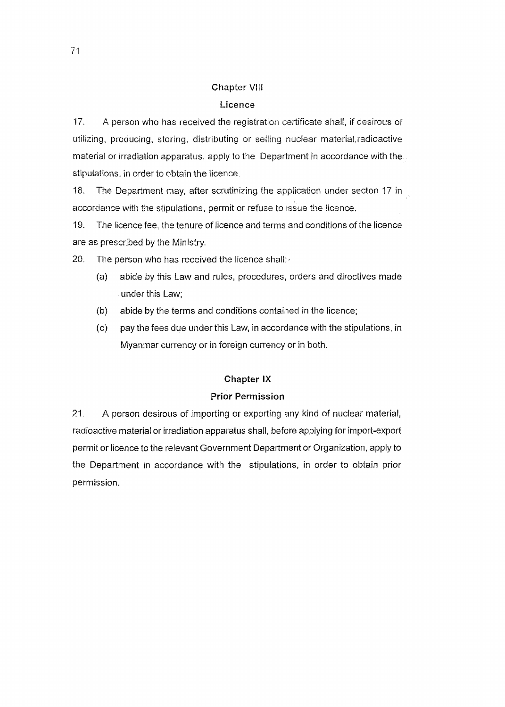# **Chapter VIII**

# **Licence**

17. A person who has received the registration certificate shall, if desirous of utilizing, producing, storing, distributing or selling nuclear material.radioactive material or irradiation apparatus, apply to the Depariment in accordance with the stipulations, in order to obtain the licence.

18. The Department may, after scrutinizing the application under secton 17 in accordance with the stipulations, permit or refuse to issue the licence.

19. The licence fee, the tenure of licence and terms and conditions of the licence are as prescribed by the Ministry.

20. The person who has received the licence shall:-

- (a) abide by this Law and rules, procedures, orders and directives made under this Law;
- (b) abide by the terms and conditions contained in the licence;
- ( c) pay the fees due under this Law, in accordance with the stipulations, in Myanmar currency or in foreign currency or in both.

## **Chapter IX**

## **Prior Permission**

21. A person desirous of importing or exporting any kind of nuclear material, radioactive material or irradiation apparatus shall, before applying for import-export permit or licence to the relevant Government Department or Organization, apply to the Department in accordance with the stipulations, in order to obtain prior permission.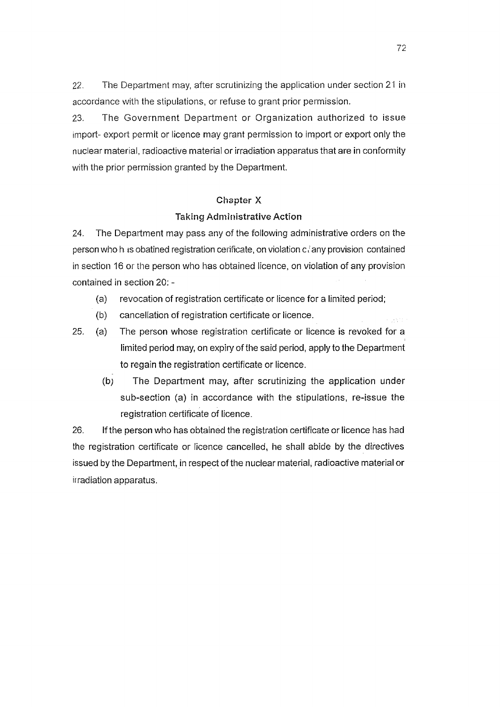22. The Department may, after scrutinizing the application under section 21 in accordance with the stipulations, or refuse to grant prior permission.

23. The Government Department or Organization authorized to issue import- export permit or licence may grant permission to import or export only the nuclear material, radioactive material or irradiation apparatus that are in conformity with the prior permission granted by the Department.

# **Chapter X**

### **Taking Administrative Action**

24. The Department may pass any of the following administrative orders on the person who h ts obatined registration cerlficate, on violation c *i* any provision contained in section 16 or the person who has obtained lrcence, on violation of any provision contained in section 20: -

- (a) revocation of registration certificate or licence for a limited period;
- (b) cancellation of registration certificate or licence.
- 25. (a) The person whose registration certificate or licence is revoked for a limited period may, on expiry of the said period, apply to the Department to regain the registration certificate or licence.
	- (b) The Department may, after scrutinizing the application under sub-section (a) in accordance with the stipulations, re-issue the registration certificate of licence.

26. If the person who has obtained the registration certificate or licence has had the registration certificate or licence cancelled, he shall abide by the directives issued by the Department, in respect of the nuclear material, radioactive material or irradiation apparatus.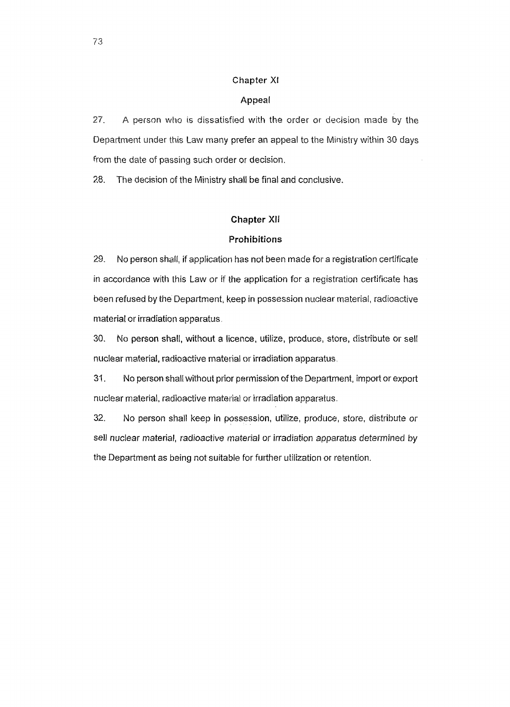### Chapter XI

### Appeal

27. A person who ts dissatisfied with the order or decision made by the Department under this Law many prefer an appeal to the Ministry within 30 days from the date of passing such order or decision.

28. The decision of the Ministry shall be final and conclusive.

### **Chapter XII**

### **Prohibitions**

29. No person shall, if application has not been made for a registration certificate in accordance with this Law or if the application for a registration certificate has been refused by the Department, keep in possession nuclear material, radioactive material or irradiation apparatus,

30. No person shall, without a licence, utilize, produce, store, distribute or sell nuclear material, radioactive material or irradiation apparatus,

31. No person shall without prior permission of the Department, import or export nuclear material, radioactive material or irradiation apparatus.

32. No person shall keep in possession, utilize, produce, store, distribute or sell nuclear material, radioactive material or irradiation apparatus determined by the Department as being not suitable for further utilization or retention.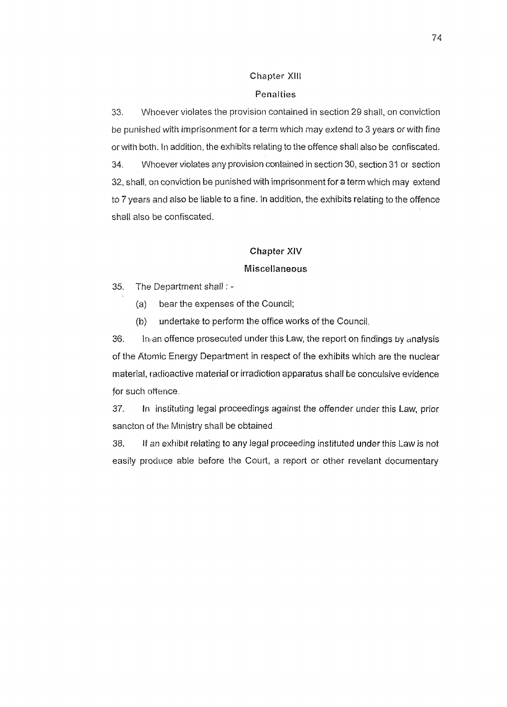## Chapter Xlll

### Penalties

33. Whoever violates the provision contained in section 29 shall, on conviction be punished with imprisonment for a term which may extend to 3 years or with fine or with both. In addition, the exhibits relating to the offence shall also be confiscated. 34. Whoever violates any provision contained in section 30, section 31 or section 32, shall, on conviction be punished with imprisonment for a term which may extend to 7 years and also be liable to a fine. In addition, the exhibits relating to the offence shall also be confiscated.

# **Chapter XIV**

### **Miscellaneous**

35. The Department shall : -

(a) bear the expenses of the Council;

 $(b)$  . undertake to perform the office works of the Council.

 $36.$  ln, an offence prosecuted under this Law, the report on findings by analysis of the Atomic Energy Department in respect of the exhibits which are the nuclear material, radioactive material or irradiation apparatus shall be conculsive evidence for such offence.

37. In instituting legal proceedings against the offender under this Law, prior sancton of the Ministry shall be obtained.

38. If an exhibit relating to any legal proceeding instituted under this Law is not easily produce able before the Court, a report or other revelant documentary